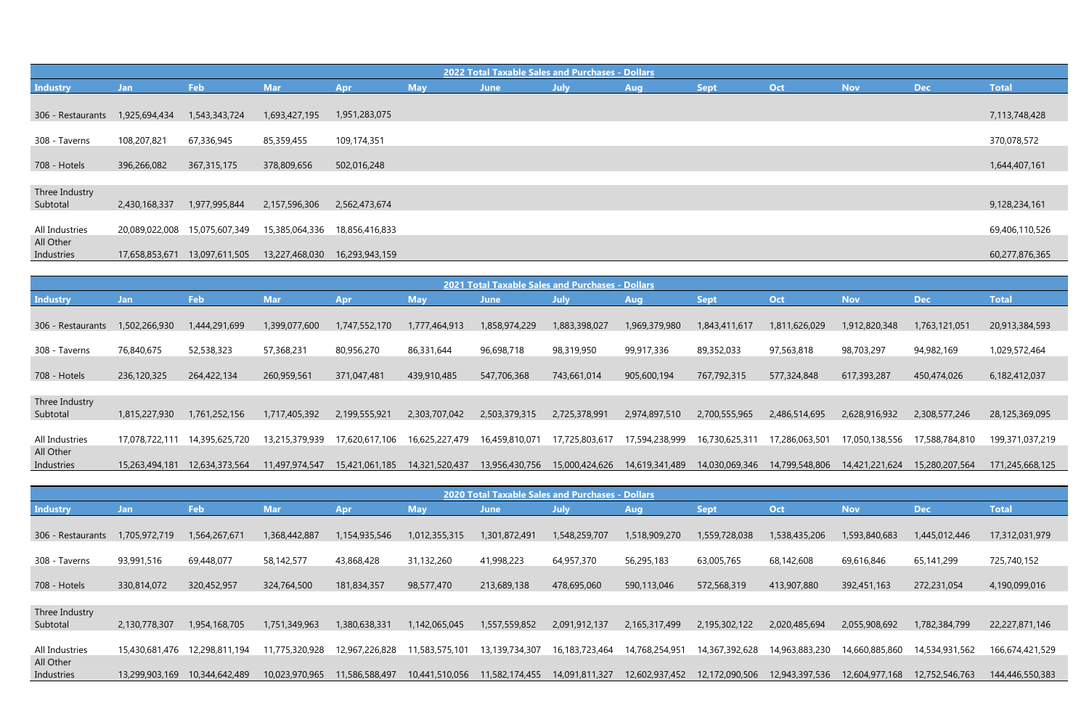|                   |                |                |                |                |            | 2022 Total Taxable Sales and Purchases - Dollars |             |     |             |     |            |            |                |
|-------------------|----------------|----------------|----------------|----------------|------------|--------------------------------------------------|-------------|-----|-------------|-----|------------|------------|----------------|
| <b>Industry</b>   | <b>Jan</b>     | <b>Feb</b>     | <b>Mar</b>     | Apr            | <b>May</b> | <b>June</b>                                      | <b>July</b> | Aug | <b>Sept</b> | Oct | <b>Nov</b> | <b>Dec</b> | <b>Total</b>   |
|                   |                |                |                |                |            |                                                  |             |     |             |     |            |            |                |
| 306 - Restaurants | 1,925,694,434  | 1,543,343,724  | 1,693,427,195  | 1,951,283,075  |            |                                                  |             |     |             |     |            |            | 7,113,748,428  |
|                   |                |                |                |                |            |                                                  |             |     |             |     |            |            |                |
| 308 - Taverns     | 108,207,821    | 67,336,945     | 85,359,455     | 109,174,351    |            |                                                  |             |     |             |     |            |            | 370,078,572    |
| 708 - Hotels      | 396,266,082    | 367,315,175    | 378,809,656    | 502,016,248    |            |                                                  |             |     |             |     |            |            | 1,644,407,161  |
|                   |                |                |                |                |            |                                                  |             |     |             |     |            |            |                |
| Three Industry    |                |                |                |                |            |                                                  |             |     |             |     |            |            |                |
| Subtotal          | 2,430,168,337  | 1,977,995,844  | 2,157,596,306  | 2,562,473,674  |            |                                                  |             |     |             |     |            |            | 9,128,234,161  |
|                   |                |                |                |                |            |                                                  |             |     |             |     |            |            |                |
| All Industries    | 20,089,022,008 | 15,075,607,349 | 15,385,064,336 | 18,856,416,833 |            |                                                  |             |     |             |     |            |            | 69,406,110,526 |
| All Other         |                |                |                |                |            |                                                  |             |     |             |     |            |            |                |
| Industries        | 17,658,853,671 | 13,097,611,505 | 13,227,468,030 | 16,293,943,159 |            |                                                  |             |     |             |     |            |            | 60,277,876,365 |

|                            | <b>2021 Total Taxable Sales and Purchases - Dollars</b> |                |                |                |                    |                |                |                |                |                |                |                |                 |
|----------------------------|---------------------------------------------------------|----------------|----------------|----------------|--------------------|----------------|----------------|----------------|----------------|----------------|----------------|----------------|-----------------|
| <b>Industry</b>            | <b>Jan</b>                                              | Feb            | <b>Mar</b>     | Apr            | <b>May</b>         | June           | July           | Aug            | <b>Sept</b>    | Oct            | <b>Nov</b>     | <b>Dec</b>     | Total           |
| 306 - Restaurants          | ,502,266,930                                            | 1,444,291,699  | 1,399,077,600  | 1,747,552,170  | 1,777,464,913      | 1,858,974,229  | 1,883,398,027  | 1,969,379,980  | 1,843,411,617  | 1,811,626,029  | 1,912,820,348  | 1,763,121,051  | 20,913,384,593  |
| 308 - Taverns              | 76,840,675                                              | 52,538,323     | 57,368,231     | 80,956,270     | 86,331,644         | 96,698,718     | 98,319,950     | 99,917,336     | 89,352,033     | 97,563,818     | 98,703,297     | 94,982,169     | 1,029,572,464   |
| 708 - Hotels               | 236,120,325                                             | 264,422,134    | 260,959,561    | 371,047,481    | 439,910,485        | 547,706,368    | 743,661,014    | 905,600,194    | 767,792,315    | 577,324,848    | 617,393,287    | 450,474,026    | 6,182,412,037   |
|                            |                                                         |                |                |                |                    |                |                |                |                |                |                |                |                 |
| Three Industry<br>Subtotal | 1,815,227,930                                           | 1,761,252,156  | 1,717,405,392  | 2,199,555,921  | 2,303,70<br>07,042 | 2,503,379,315  | 2,725,378,991  | 2,974,897,510  | 2,700,555,965  | 2,486,514,695  | 2,628,916,932  | 2,308,577,246  | 28,125,369,095  |
| All Industries             | 17,078,722,111                                          | 14,395,625,720 | 13,215,379,939 | 17,620,617,106 | 16,625,227,479     | 16,459,810,07  | 17,725,803,61  | 17,594,238,999 | 16,730,625,31  | 7,286,063,501  | 17,050,138,556 | 17,588,784,810 | 199,371,037,219 |
| All Other<br>Industries    | 15,263,494,181                                          | 12,634,373,564 | 11,497,974,547 | 15,421,061,185 | 14,321,520,437     | 13,956,430,756 | 15,000,424,626 | 14,619,341,489 | 14,030,069,346 | 14,799,548,806 | 14,421,221,624 | 15,280,207,564 | 171,245,668,125 |

|                            | <b>2020 Total Taxable Sales and Purchases - Dollars</b> |                |                |                |                |                |                |                |                |                |                |                |                 |
|----------------------------|---------------------------------------------------------|----------------|----------------|----------------|----------------|----------------|----------------|----------------|----------------|----------------|----------------|----------------|-----------------|
| Industry                   | <b>Jan</b>                                              | Feb            | Mar            | Apr            | May            | <b>June</b>    | <b>July</b>    | Aug            | <b>Sept</b>    | Oct            | <b>Nov</b>     | <b>Dec</b>     | <b>Total</b>    |
| 306 - Restaurants          | ,705,972,719                                            | ,564,267,671   | 1,368,442,887  | 1,154,935,546  | 1,012,355,315  | 1,301,872,491  | 1,548,259,707  | 1,518,909,270  | 1,559,728,038  | 1,538,435,206  | 1,593,840,683  | 1,445,012,446  | 17,312,031,979  |
| 308 - Taverns              | 93,991,516                                              | 69,448,077     | 58,142,577     | 43,868,428     | 31,132,260     | 41,998,223     | 64,957,370     | 56,295,183     | 63,005,765     | 68,142,608     | 69,616,846     | 65,141,299     | 725,740,152     |
| 708 - Hotels               | 330,814,072                                             | 320,452,957    | 324,764,500    | 181,834,357    | 98,577,470     | 213,689,138    | 478,695,060    | 590,113,046    | 572,568,319    | 413,907,880    | 392,451,163    | 272,231,054    | 4,190,099,016   |
|                            |                                                         |                |                |                |                |                |                |                |                |                |                |                |                 |
| Three Industry<br>Subtotal | 2,130,778,307                                           | 1,954,168,705  | 1,751,349,963  | 1,380,638,331  | 1,142,065,045  | 1,557,559,852  | 2,091,912,137  | 2,165,317,499  | 2,195,302,122  | 2,020,485,694  | 2,055,908,692  | 1,782,384,799  | 22,227,871,146  |
| All Industries             | 15,430,681,476                                          | 12,298,811,194 | 11,775,320,928 | 12,967,226,828 | 1,583,575,101  | 13,139,734,307 | 16,183,723,464 | 14,768,254,951 | 14,367,392,628 | 14,963,883,230 | 14,660,885,860 | 14,534,931,562 | 166,674,421,529 |
| All Other<br>Industries    | 13,299,903,169                                          | 10,344,642,489 | 10,023,970,965 | 11,586,588,497 | 10,441,510,056 | 11,582,174,455 | 14,091,811,327 | 12,602,937,452 | 12,172,090,506 | 12,943,397,536 | 12,604,977,168 | 12,752,546,763 | 144,446,550,383 |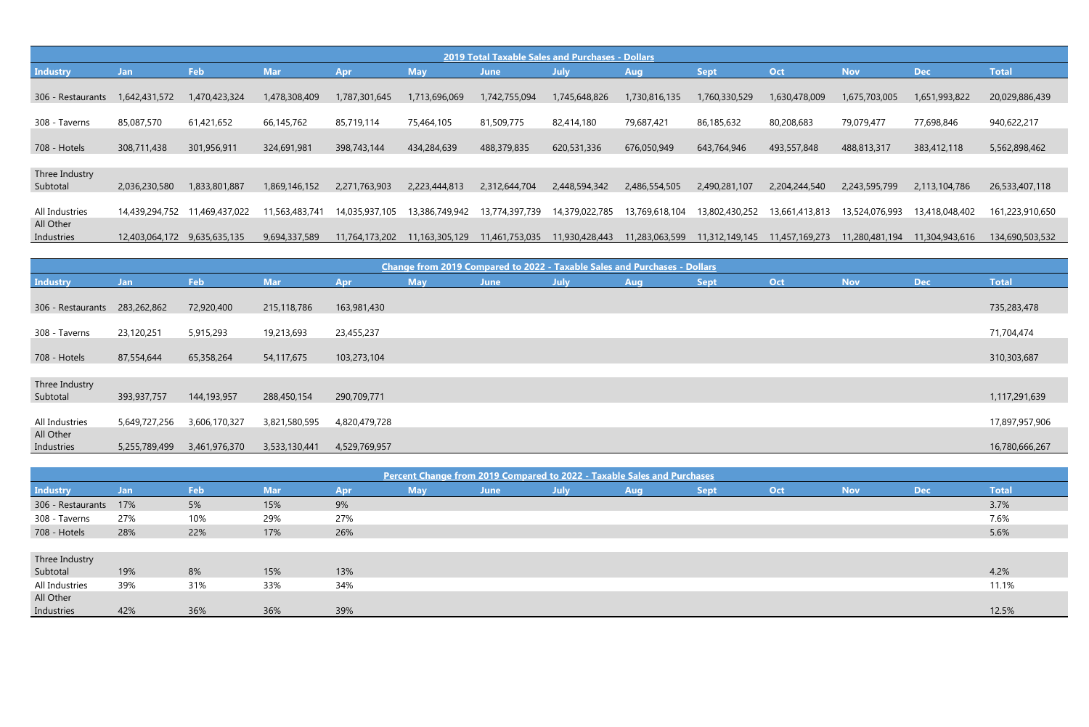|                         | <b>2019 Total Taxable Sales and Purchases - Dollars</b> |               |                |                |                |                |                |                |                |                |                |                |                 |
|-------------------------|---------------------------------------------------------|---------------|----------------|----------------|----------------|----------------|----------------|----------------|----------------|----------------|----------------|----------------|-----------------|
| Industry                | <b>Jan</b>                                              | Feb           | <b>Mar</b>     | <b>Apr</b>     | May            | <b>June</b>    | <b>July</b>    | Aug            | <b>Sept</b>    | Oct            | <b>Nov</b>     | <b>Dec</b>     | <b>Total</b>    |
| 306 - Restaurants       | 1,642,431,572                                           | 1,470,423,324 | 1,478,308,409  | 1,787,301,645  | ,713,696,069   | 1,742,755,094  | 1,745,648,826  | 1,730,816,135  | 1,760,330,529  | 1,630,478,009  | 1,675,703,005  | 1,651,993,822  | 20,029,886,439  |
| 308 - Taverns           | 85,087,570                                              | 61,421,652    | 66,145,762     | 85,719,114     | 75,464,105     | 81,509,775     | 82,414,180     | 79,687,421     | 86,185,632     | 80,208,683     | 79,079,477     | 77,698,846     | 940,622,217     |
| 708 - Hotels            | 308,711,438                                             | 301,956,911   | 324,691,981    | 398,743,144    | 434,284,639    | 488,379,835    | 620,531,336    | 676,050,949    | 643,764,946    | 493,557,848    | 488,813,317    | 383,412,118    | 5,562,898,462   |
| Three Industry          |                                                         |               |                |                |                |                |                |                |                |                |                |                |                 |
| Subtotal                | 2,036,230,580                                           | 1,833,801,887 | 1,869,146,152  | 2,271,763,903  | 2,223,444,813  | 2,312,644,704  | 2,448,594,342  | 2,486,554,505  | 2,490,281,107  | 2,204,244,540  | 2,243,595,799  | 2,113,104,786  | 26,533,407,118  |
| All Industries          | 14,439,294,752                                          | 1,469,437,022 | 11,563,483,741 | 14,035,937,105 | 13,386,749,942 | 13,774,397,739 | 14,379,022,785 | 13,769,618,104 | 13,802,430,252 | 13,661,413,813 | 13,524,076,993 | 13,418,048,402 | 161,223,910,650 |
| All Other<br>Industries | 12,403,064,172                                          | 9,635,635,135 | 9,694,337,589  | 11,764,173,202 | 11,163,305,129 | 11,461,753,035 | 11,930,428,443 | 11,283,063,599 | 11,312,149,145 | 11,457,169,273 | 11,280,481,194 | 11,304,943,616 | 134,690,503,532 |

|                   |               |               |               |               |     | Change from 2019 Compared to 2022 - Taxable Sales and Purchases - Dollars |             |     |             |     |            |            |                |
|-------------------|---------------|---------------|---------------|---------------|-----|---------------------------------------------------------------------------|-------------|-----|-------------|-----|------------|------------|----------------|
| <b>Industry</b>   | <b>Jan</b>    | Feb           | <b>Mar</b>    | Apr           | May | <b>June</b>                                                               | <b>July</b> | Aug | <b>Sept</b> | Oct | <b>Nov</b> | <b>Dec</b> | Total          |
|                   |               |               |               |               |     |                                                                           |             |     |             |     |            |            |                |
| 306 - Restaurants | 283,262,862   | 72,920,400    | 215,118,786   | 163,981,430   |     |                                                                           |             |     |             |     |            |            | 735,283,478    |
|                   |               |               |               |               |     |                                                                           |             |     |             |     |            |            |                |
| 308 - Taverns     | 23,120,251    | 5,915,293     | 19,213,693    | 23,455,237    |     |                                                                           |             |     |             |     |            |            | 71,704,474     |
|                   |               |               |               |               |     |                                                                           |             |     |             |     |            |            |                |
| 708 - Hotels      | 87,554,644    | 65,358,264    | 54,117,675    | 103,273,104   |     |                                                                           |             |     |             |     |            |            | 310,303,687    |
|                   |               |               |               |               |     |                                                                           |             |     |             |     |            |            |                |
| Three Industry    |               |               |               |               |     |                                                                           |             |     |             |     |            |            |                |
| Subtotal          | 393,937,757   | 144,193,957   | 288,450,154   | 290,709,771   |     |                                                                           |             |     |             |     |            |            | 1,117,291,639  |
|                   |               |               |               |               |     |                                                                           |             |     |             |     |            |            |                |
| All Industries    | 5,649,727,256 | 3,606,170,327 | 3,821,580,595 | 4,820,479,728 |     |                                                                           |             |     |             |     |            |            | 17,897,957,906 |
| All Other         |               |               |               |               |     |                                                                           |             |     |             |     |            |            |                |
| Industries        | 5,255,789,499 | 3,461,976,370 | 3,533,130,441 | 4,529,769,957 |     |                                                                           |             |     |             |     |            |            | 16,780,666,267 |

|                       | Percent Change from 2019 Compared to 2022 - Taxable Sales and Purchases |     |            |            |            |             |             |     |             |     |            |            |              |
|-----------------------|-------------------------------------------------------------------------|-----|------------|------------|------------|-------------|-------------|-----|-------------|-----|------------|------------|--------------|
| Industry              | <b>Jan</b>                                                              | Feb | <b>Mar</b> | <b>Apr</b> | <b>May</b> | <b>June</b> | <b>July</b> | Aug | <b>Sept</b> | Oct | <b>Nov</b> | <b>Dec</b> | <b>Total</b> |
| 306 - Restaurants 17% |                                                                         | 5%  | 15%        | 9%         |            |             |             |     |             |     |            |            | 3.7%         |
| 308 - Taverns         | 27%                                                                     | 10% | 29%        | 27%        |            |             |             |     |             |     |            |            | 7.6%         |
| 708 - Hotels          | 28%                                                                     | 22% | 17%        | 26%        |            |             |             |     |             |     |            |            | 5.6%         |
|                       |                                                                         |     |            |            |            |             |             |     |             |     |            |            |              |
| Three Industry        |                                                                         |     |            |            |            |             |             |     |             |     |            |            |              |
| Subtotal              | 19%                                                                     | 8%  | 15%        | 13%        |            |             |             |     |             |     |            |            | 4.2%         |
| All Industries        | 39%                                                                     | 31% | 33%        | 34%        |            |             |             |     |             |     |            |            | 11.1%        |
| All Other             |                                                                         |     |            |            |            |             |             |     |             |     |            |            |              |
| Industries            | 42%                                                                     | 36% | 36%        | 39%        |            |             |             |     |             |     |            |            | 12.5%        |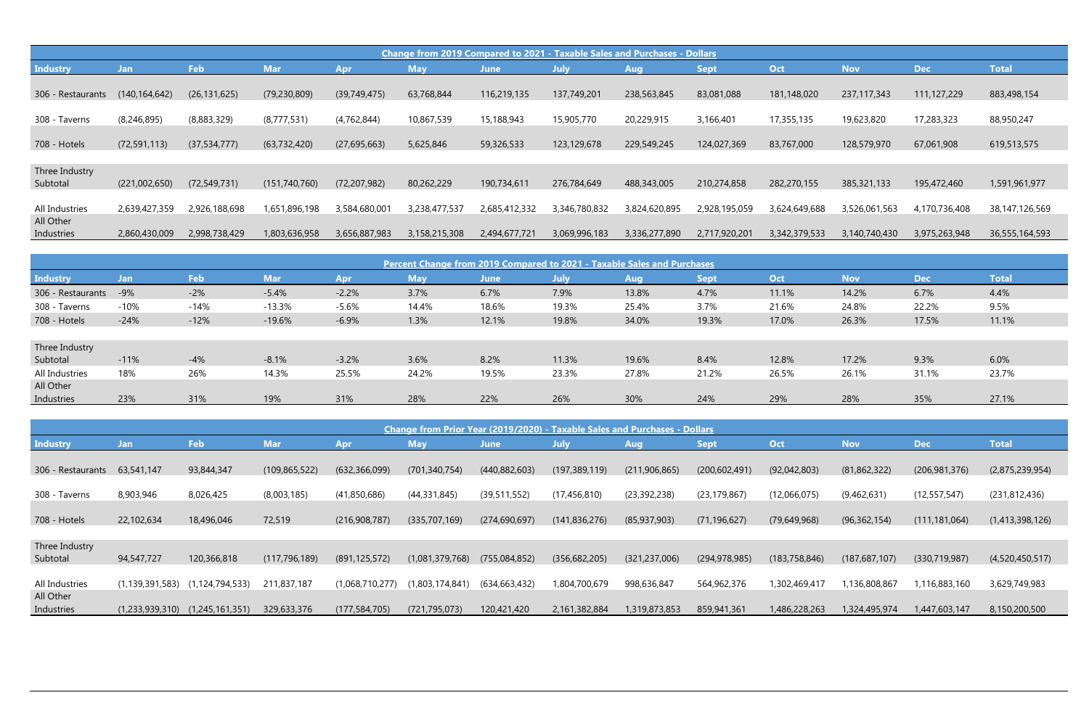|                            |                 |                |                 |                |                   |               | Change from 2019 Compared to 2021 - Taxable Sales and Purchases - Dollars |               |               |               |               |               |                   |
|----------------------------|-----------------|----------------|-----------------|----------------|-------------------|---------------|---------------------------------------------------------------------------|---------------|---------------|---------------|---------------|---------------|-------------------|
| Industry                   | <b>Jan</b>      | Feb            | <b>Mar</b>      | Apr            | <b>May</b>        | <b>June</b>   | <b>July</b>                                                               | Aug           | <b>Sept</b>   | Oct           | <b>Nov</b>    | <b>Dec</b>    | <b>Total</b>      |
| 306 - Restaurants          | (140, 164, 642) | (26, 131, 625) | (79, 230, 809)  | (39, 749, 475) | 63,768,844        | 116,219,135   | 137,749,201                                                               | 238,563,845   | 83,081,088    | 181,148,020   | 237,117,343   | 111,127,229   | 883,498,154       |
| 308 - Taverns              | (8,246,895)     | (8,883,329)    | (8,777,531)     | (4,762,844)    | 10,867,539        | 15,188,943    | 15,905,770                                                                | 20,229,915    | 3,166,401     | 17,355,135    | 19,623,820    | 17,283,323    | 88,950,247        |
| 708 - Hotels               | (72, 591, 113)  | (37,534,777)   | (63, 732, 420)  | (27,695,663)   | 5,625,846         | 59,326,533    | 123,129,678                                                               | 229,549,245   | 124,027,369   | 83,767,000    | 128,579,970   | 67,061,908    | 619,513,575       |
|                            |                 |                |                 |                |                   |               |                                                                           |               |               |               |               |               |                   |
| Three Industry<br>Subtotal | (221,002,650)   | (72, 549, 731) | (151, 740, 760) | (72, 207, 982) | 80,262,229        | 190,734,611   | 276,784,649                                                               | 488,343,005   | 210,274,858   | 282,270,155   | 385,321,133   | 195,472,460   | 1,591,961,977     |
| All Industries             | 2,639,427,359   | 2,926,188,698  | 1,651,896,198   | 3,584,680,001  | 3,238,477<br>7,53 | 2,685,412,332 | 3,346,780,832                                                             | 3,824,620,895 | 2,928,195,059 | 3,624,649,688 | 3,526,061,563 | 4,170,736,408 | 38, 147, 126, 569 |
| All Other<br>Industries    | 2,860,430,009   | 2,998,738,429  | 1,803,636,958   | 3,656,887,983  | 3,158,215,308     | 2,494,677,721 | 3,069,996,183                                                             | 3,336,277,890 | 2,717,920,201 | 3,342,379,533 | 3,140,740,430 | 3,975,263,948 | 36,555,164,593    |

| Percent Change from 2019 Compared to 2021 - Taxable Sales and Purchases |        |        |            |            |       |             |       |       |             |       |            |            |       |
|-------------------------------------------------------------------------|--------|--------|------------|------------|-------|-------------|-------|-------|-------------|-------|------------|------------|-------|
| Industry                                                                | Jan    | Feb    | <b>Mar</b> | <b>Apr</b> | May   | <b>June</b> | July  | Aug   | <b>Sept</b> | Oct   | <b>Nov</b> | <b>Dec</b> | Total |
| 306 - Restaurants - 9%                                                  |        | $-2%$  | $-5.4%$    | $-2.2%$    | 3.7%  | 6.7%        | 7.9%  | 13.8% | 4.7%        | 11.1% | 14.2%      | 6.7%       | 4.4%  |
| 308 - Taverns                                                           | $-10%$ | $-14%$ | $-13.3%$   | $-5.6%$    | 14.4% | 18.6%       | 19.3% | 25.4% | 3.7%        | 21.6% | 24.8%      | 22.2%      | 9.5%  |
| 708 - Hotels                                                            | $-24%$ | $-12%$ | $-19.6%$   | $-6.9%$    | 1.3%  | 12.1%       | 19.8% | 34.0% | 19.3%       | 17.0% | 26.3%      | 17.5%      | 11.1% |
|                                                                         |        |        |            |            |       |             |       |       |             |       |            |            |       |
| Three Industry                                                          |        |        |            |            |       |             |       |       |             |       |            |            |       |
| Subtotal                                                                | $-11%$ | $-4%$  | $-8.1%$    | $-3.2%$    | 3.6%  | 8.2%        | 11.3% | 19.6% | 8.4%        | 12.8% | 17.2%      | 9.3%       | 6.0%  |
| All Industries                                                          | 18%    | 26%    | 14.3%      | 25.5%      | 24.2% | 19.5%       | 23.3% | 27.8% | 21.2%       | 26.5% | 26.1%      | 31.1%      | 23.7% |
| All Other                                                               |        |        |            |            |       |             |       |       |             |       |            |            |       |
| Industries                                                              | 23%    | 31%    | 19%        | 31%        | 28%   | 22%         | 26%   | 30%   | 24%         | 29%   | 28%        | 35%        | 27.1% |

|                            |                    |                    |                 |                 |                 |                 | Change from Prior Year (2019/2020) - Taxable Sales and Purchases - Dollars |                 |                 |                 |                 |                 |                 |
|----------------------------|--------------------|--------------------|-----------------|-----------------|-----------------|-----------------|----------------------------------------------------------------------------|-----------------|-----------------|-----------------|-----------------|-----------------|-----------------|
| Industry                   | <b>Jan</b>         | Feb                | <b>Mar</b>      | Apr             | <b>May</b>      | <b>June</b>     | <b>July</b>                                                                | Aug             | <b>Sept</b>     | Oct             | <b>Nov</b>      | <b>Dec</b>      | Total           |
| 306 - Restaurants          | 63,541,147         | 93,844,347         | (109, 865, 522) | (632, 366, 099) | (701, 340, 754) | (440, 882, 603) | (197, 389, 119)                                                            | (211, 906, 865) | (200, 602, 491) | (92,042,803)    | (81, 862, 322)  | (206, 981, 376) | (2,875,239,954) |
| 308 - Taverns              | 8,903,946          | 8,026,425          | (8,003,185)     | (41,850,686)    | (44, 331, 845)  | (39,511,552)    | (17, 456, 810)                                                             | (23, 392, 238)  | (23, 179, 867)  | (12,066,075)    | (9,462,631)     | (12, 557, 547)  | (231, 812, 436) |
| 708 - Hotels               | 22,102,634         | 18,496,046         | 72,519          | (216,908,787)   | (335,707,169)   | (274, 690, 697) | (141, 836, 276)                                                            | (85, 937, 903)  | (71, 196, 627)  | (79, 649, 968)  | (96, 362, 154)  | (111, 181, 064) | (1,413,398,126) |
|                            |                    |                    |                 |                 |                 |                 |                                                                            |                 |                 |                 |                 |                 |                 |
| Three Industry<br>Subtotal | 94,547,727         | 120,366,818        | (117, 796, 189) | (891, 125, 572) | (1,081,379,768) | (755,084,852)   | (356, 682, 205)                                                            | (321, 237, 006) | (294, 978, 985) | (183, 758, 846) | (187, 687, 107) | (330, 719, 987) | (4,520,450,517) |
| All Industries             | (1, 139, 391, 583) | (1, 124, 794, 533) | 211,837,187     | (1,068,710,277) | (1,803,174,841) | (634, 663, 432) | 1,804,700,679                                                              | 998,636,847     | 564,962,376     | 1,302,469,417   | 1,136,808,867   | 1,116,883,160   | 3,629,749,983   |
| All Other<br>Industries    | (1,233,939,310)    | (1,245,161,351)    | 329,633,376     | (177, 584, 705) | (721, 795, 073) | 120,421,420     | 2,161,382,884                                                              | 1,319,873,853   | 859,941,361     | 1,486,228,263   | 1,324,495,974   | 1,447,603,147   | 8,150,200,500   |